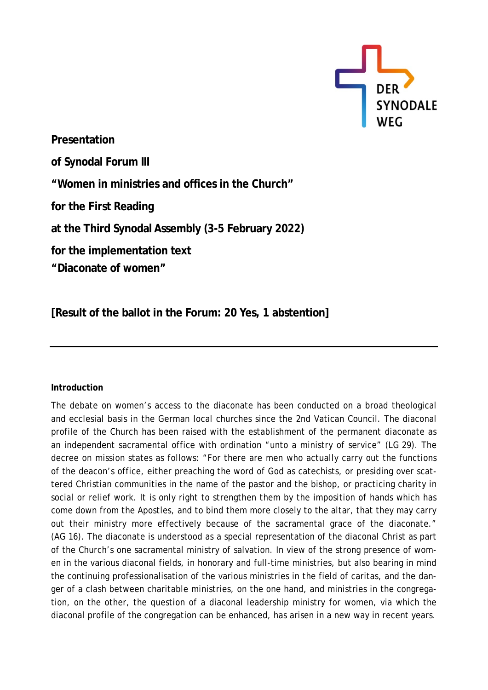

**Presentation of Synodal Forum III "Women in ministries and offices in the Church" for the First Reading at the Third Synodal Assembly (3-5 February 2022) for the implementation text "Diaconate of women"**

**[Result of the ballot in the Forum: 20 Yes, 1 abstention]**

## **Introduction**

The debate on women's access to the diaconate has been conducted on a broad theological and ecclesial basis in the German local churches since the 2nd Vatican Council. The diaconal profile of the Church has been raised with the establishment of the permanent diaconate as an independent sacramental office with ordination "unto a ministry of service" (LG 29). The decree on mission states as follows: "For there are men who actually carry out the functions of the deacon's office, either preaching the word of God as catechists, or presiding over scattered Christian communities in the name of the pastor and the bishop, or practicing charity in social or relief work. It is only right to strengthen them by the imposition of hands which has come down from the Apostles, and to bind them more closely to the altar, that they may carry out their ministry more effectively because of the sacramental grace of the diaconate." (AG 16). The diaconate is understood as a special representation of the diaconal Christ as part of the Church's one sacramental ministry of salvation. In view of the strong presence of women in the various diaconal fields, in honorary and full-time ministries, but also bearing in mind the continuing professionalisation of the various ministries in the field of caritas, and the danger of a clash between charitable ministries, on the one hand, and ministries in the congregation, on the other, the question of a diaconal leadership ministry for women, via which the diaconal profile of the congregation can be enhanced, has arisen in a new way in recent years.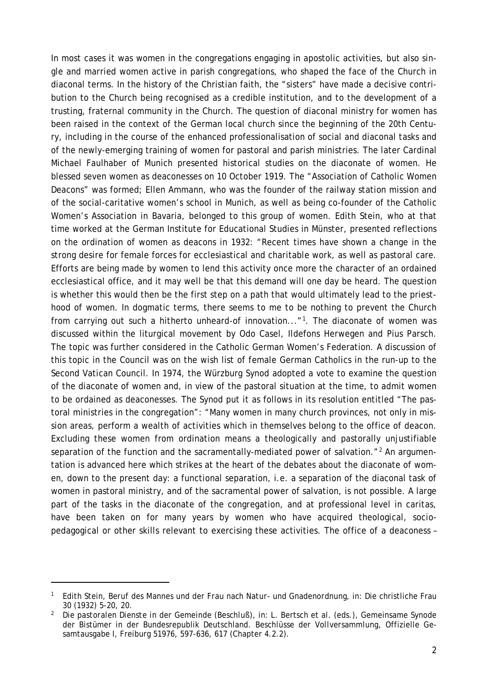In most cases it was women in the congregations engaging in apostolic activities, but also single and married women active in parish congregations, who shaped the face of the Church in diaconal terms. In the history of the Christian faith, the "sisters" have made a decisive contribution to the Church being recognised as a credible institution, and to the development of a trusting, fraternal community in the Church. The question of diaconal ministry for women has been raised in the context of the German local church since the beginning of the 20th Century, including in the course of the enhanced professionalisation of social and diaconal tasks and of the newly-emerging training of women for pastoral and parish ministries. The later Cardinal Michael Faulhaber of Munich presented historical studies on the diaconate of women. He blessed seven women as deaconesses on 10 October 1919. The "Association of Catholic Women Deacons" was formed; Ellen Ammann, who was the founder of the railway station mission and of the social-caritative women's school in Munich, as well as being co-founder of the Catholic Women's Association in Bavaria, belonged to this group of women. Edith Stein, who at that time worked at the German Institute for Educational Studies in Münster, presented reflections on the ordination of women as deacons in 1932: "Recent times have shown a change in the strong desire for female forces for ecclesiastical and charitable work, as well as pastoral care. Efforts are being made by women to lend this activity once more the character of an ordained ecclesiastical office, and it may well be that this demand will one day be heard. The question is whether this would then be the first step on a path that would ultimately lead to the priesthood of women. In dogmatic terms, there seems to me to be nothing to prevent the Church from carrying out such a hitherto unheard-of innovation..."<sup>1</sup>. The diaconate of women was discussed within the liturgical movement by Odo Casel, Ildefons Herwegen and Pius Parsch. The topic was further considered in the Catholic German Women's Federation. A discussion of this topic in the Council was on the wish list of female German Catholics in the run-up to the Second Vatican Council. In 1974, the Würzburg Synod adopted a vote to examine the question of the diaconate of women and, in view of the pastoral situation at the time, to admit women to be ordained as deaconesses. The Synod put it as follows in its resolution entitled "The pastoral ministries in the congregation": "Many women in many church provinces, not only in mission areas, perform a wealth of activities which in themselves belong to the office of deacon. Excluding these women from ordination means a theologically and pastorally unjustifiable separation of the function and the sacramentally-mediated power of salvation."<sup>[2](#page-1-1)</sup> An argumentation is advanced here which strikes at the heart of the debates about the diaconate of women, down to the present day: a functional separation, i.e. a separation of the diaconal task of women in pastoral ministry, and of the sacramental power of salvation, is not possible. A large part of the tasks in the diaconate of the congregation, and at professional level in caritas, have been taken on for many years by women who have acquired theological, sociopedagogical or other skills relevant to exercising these activities. The office of a deaconess –

<span id="page-1-0"></span><sup>1</sup> Edith Stein, *Beruf des Mannes und der Frau nach Natur- und Gnadenordnung*, in: Die christliche Frau 30 (1932) 5-20, 20.

<span id="page-1-1"></span><sup>2</sup> *Die pastoralen Dienste in der Gemeinde (Beschluß)*, in: L. Bertsch et al. (eds.), Gemeinsame Synode der Bistümer in der Bundesrepublik Deutschland. *Beschlüsse der Vollversammlung*, Offizielle Gesamtausgabe I, Freiburg 51976, 597-636, 617 (Chapter 4.2.2).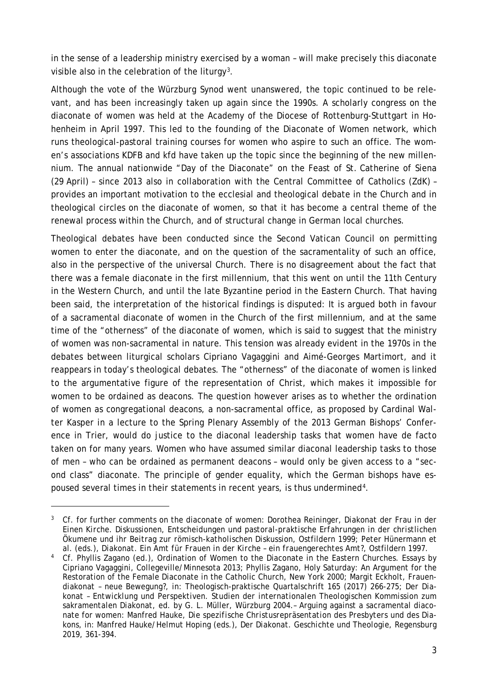in the sense of a leadership ministry exercised by a woman – will make precisely this diaconate visible also in the celebration of the liturgy<sup>3</sup>.

Although the vote of the Würzburg Synod went unanswered, the topic continued to be relevant, and has been increasingly taken up again since the 1990s. A scholarly congress on the diaconate of women was held at the Academy of the Diocese of Rottenburg-Stuttgart in Hohenheim in April 1997. This led to the founding of the Diaconate of Women network, which runs theological-pastoral training courses for women who aspire to such an office. The women's associations KDFB and kfd have taken up the topic since the beginning of the new millennium. The annual nationwide "Day of the Diaconate" on the Feast of St. Catherine of Siena (29 April) – since 2013 also in collaboration with the Central Committee of Catholics (ZdK) – provides an important motivation to the ecclesial and theological debate in the Church and in theological circles on the diaconate of women, so that it has become a central theme of the renewal process within the Church, and of structural change in German local churches.

Theological debates have been conducted since the Second Vatican Council on permitting women to enter the diaconate, and on the question of the sacramentality of such an office, also in the perspective of the universal Church. There is no disagreement about the fact that there was a female diaconate in the first millennium, that this went on until the 11th Century in the Western Church, and until the late Byzantine period in the Eastern Church. That having been said, the interpretation of the historical findings is disputed: It is argued both in favour of a sacramental diaconate of women in the Church of the first millennium, and at the same time of the "otherness" of the diaconate of women, which is said to suggest that the ministry of women was non-sacramental in nature. This tension was already evident in the 1970s in the debates between liturgical scholars Cipriano Vagaggini and Aimé-Georges Martimort, and it reappears in today's theological debates. The "otherness" of the diaconate of women is linked to the argumentative figure of the representation of Christ, which makes it impossible for women to be ordained as deacons. The question however arises as to whether the ordination of women as congregational deacons, a non-sacramental office, as proposed by Cardinal Walter Kasper in a lecture to the Spring Plenary Assembly of the 2013 German Bishops' Conference in Trier, would do justice to the diaconal leadership tasks that women have de facto taken on for many years. Women who have assumed similar diaconal leadership tasks to those of men – who can be ordained as permanent deacons – would only be given access to a "second class" diaconate. The principle of gender equality, which the German bishops have es-poused several times in their statements in recent years, is thus undermined<sup>[4](#page-2-1)</sup>.

<span id="page-2-0"></span><sup>3</sup> Cf. for further comments on the diaconate of women: Dorothea Reininger, *Diakonat der Frau in der Einen Kirche. Diskussionen, Entscheidungen und pastoral-praktische Erfahrungen in der christlichen Ökumene und ihr Beitrag zur römisch-katholischen Diskussion*, Ostfildern 1999; Peter Hünermann et al. (eds.), *Diakonat. Ein Amt für Frauen in der Kirche – ein frauengerechtes Amt?*, Ostfildern 1997.

<span id="page-2-1"></span><sup>4</sup> Cf. Phyllis Zagano (ed.), Ordination of Women to the Diaconate in the Eastern Churches. Essays by Cipriano Vagaggini, Collegeville/Minnesota 2013; Phyllis Zagano, Holy Saturday: An Argument for the Restoration of the Female Diaconate in the Catholic Church, New York 2000; Margit Eckholt, *Frauendiakonat – neue Bewegung?*, in: Theologisch-praktische Quartalschrift 165 (2017) 266-275; *Der Diakonat – Entwicklung und Perspektiven. Studien der internationalen Theologischen Kommission zum sakramentalen Diakonat*, ed. by G. L. Müller, Würzburg 2004.– Arguing against a sacramental diaconate for women: Manfred Hauke, *Die spezifische Christusrepräsentation des Presbyters und des Diakons*, in: Manfred Hauke/Helmut Hoping (eds.), *Der Diakonat. Geschichte und Theologie*, Regensburg 2019, 361-394.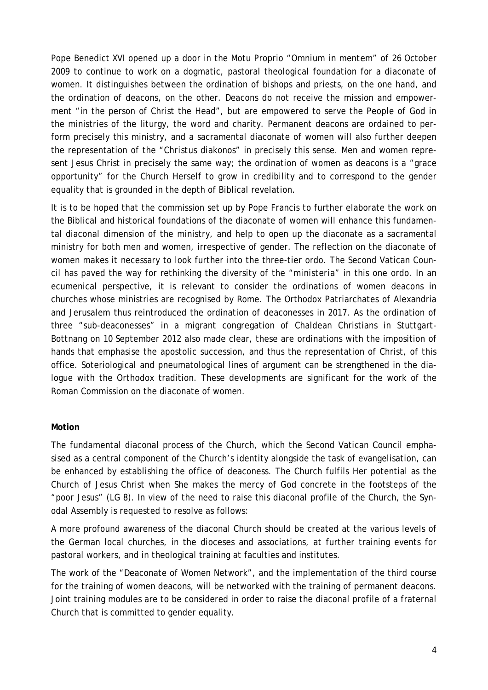Pope Benedict XVI opened up a door in the Motu Proprio "*Omnium in mentem*" of 26 October 2009 to continue to work on a dogmatic, pastoral theological foundation for a diaconate of women. It distinguishes between the ordination of bishops and priests, on the one hand, and the ordination of deacons, on the other. Deacons do not receive the mission and empowerment "in the person of Christ the Head", but are empowered to serve the People of God in the ministries of the liturgy, the word and charity. Permanent deacons are ordained to perform precisely this ministry, and a sacramental diaconate of women will also further deepen the representation of the "*Christus diakonos*" in precisely this sense. Men and women represent Jesus Christ in precisely the same way; the ordination of women as deacons is a "grace opportunity" for the Church Herself to grow in credibility and to correspond to the gender equality that is grounded in the depth of Biblical revelation.

It is to be hoped that the commission set up by Pope Francis to further elaborate the work on the Biblical and historical foundations of the diaconate of women will enhance this fundamental diaconal dimension of the ministry, and help to open up the diaconate as a sacramental ministry for both men and women, irrespective of gender. The reflection on the diaconate of women makes it necessary to look further into the three-tier ordo. The Second Vatican Council has paved the way for rethinking the diversity of the "*ministeria*" in this one ordo. In an ecumenical perspective, it is relevant to consider the ordinations of women deacons in churches whose ministries are recognised by Rome. The Orthodox Patriarchates of Alexandria and Jerusalem thus reintroduced the ordination of deaconesses in 2017. As the ordination of three "sub-deaconesses" in a migrant congregation of Chaldean Christians in Stuttgart-Bottnang on 10 September 2012 also made clear, these are ordinations with the imposition of hands that emphasise the apostolic succession, and thus the representation of Christ, of this office. Soteriological and pneumatological lines of argument can be strengthened in the dialogue with the Orthodox tradition. These developments are significant for the work of the Roman Commission on the diaconate of women.

## **Motion**

The fundamental diaconal process of the Church, which the Second Vatican Council emphasised as a central component of the Church's identity alongside the task of evangelisation, can be enhanced by establishing the office of deaconess. The Church fulfils Her potential as the Church of Jesus Christ when She makes the mercy of God concrete in the footsteps of the "poor Jesus" (LG 8). In view of the need to raise this diaconal profile of the Church, the Synodal Assembly is requested to resolve as follows:

A more profound awareness of the diaconal Church should be created at the various levels of the German local churches, in the dioceses and associations, at further training events for pastoral workers, and in theological training at faculties and institutes.

The work of the "Deaconate of Women Network", and the implementation of the third course for the training of women deacons, will be networked with the training of permanent deacons. Joint training modules are to be considered in order to raise the diaconal profile of a fraternal Church that is committed to gender equality.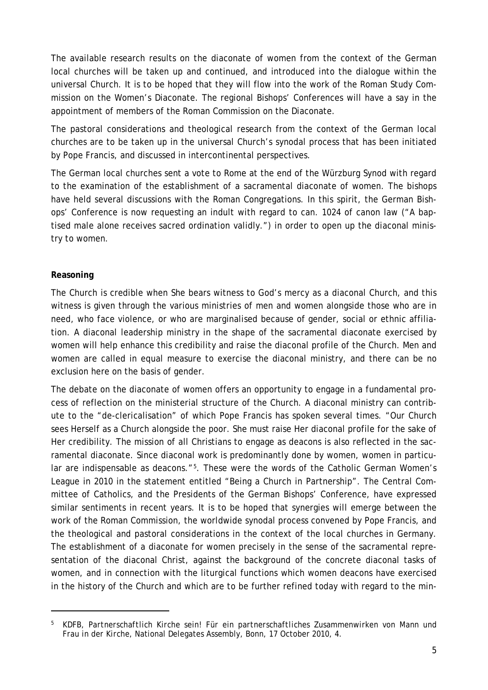The available research results on the diaconate of women from the context of the German local churches will be taken up and continued, and introduced into the dialogue within the universal Church. It is to be hoped that they will flow into the work of the Roman Study Commission on the Women's Diaconate. The regional Bishops' Conferences will have a say in the appointment of members of the Roman Commission on the Diaconate.

The pastoral considerations and theological research from the context of the German local churches are to be taken up in the universal Church's synodal process that has been initiated by Pope Francis, and discussed in intercontinental perspectives.

The German local churches sent a vote to Rome at the end of the Würzburg Synod with regard to the examination of the establishment of a sacramental diaconate of women. The bishops have held several discussions with the Roman Congregations. In this spirit, the German Bishops' Conference is now requesting an indult with regard to can. 1024 of canon law ("A baptised male alone receives sacred ordination validly.") in order to open up the diaconal ministry to women.

## **Reasoning**

The Church is credible when She bears witness to God's mercy as a diaconal Church, and this witness is given through the various ministries of men and women alongside those who are in need, who face violence, or who are marginalised because of gender, social or ethnic affiliation. A diaconal leadership ministry in the shape of the sacramental diaconate exercised by women will help enhance this credibility and raise the diaconal profile of the Church. Men and women are called in equal measure to exercise the diaconal ministry, and there can be no exclusion here on the basis of gender.

The debate on the diaconate of women offers an opportunity to engage in a fundamental process of reflection on the ministerial structure of the Church. A diaconal ministry can contribute to the "de-clericalisation" of which Pope Francis has spoken several times. "Our Church sees Herself as a Church alongside the poor. She must raise Her diaconal profile for the sake of Her credibility. The mission of all Christians to engage as deacons is also reflected in the sacramental diaconate. Since diaconal work is predominantly done by women, women in particular are indispensable as deacons."<sup>5</sup>. These were the words of the Catholic German Women's League in 2010 in the statement entitled "Being a Church in Partnership". The Central Committee of Catholics, and the Presidents of the German Bishops' Conference, have expressed similar sentiments in recent years. It is to be hoped that synergies will emerge between the work of the Roman Commission, the worldwide synodal process convened by Pope Francis, and the theological and pastoral considerations in the context of the local churches in Germany. The establishment of a diaconate for women precisely in the sense of the sacramental representation of the diaconal Christ, against the background of the concrete diaconal tasks of women, and in connection with the liturgical functions which women deacons have exercised in the history of the Church and which are to be further refined today with regard to the min-

<span id="page-4-0"></span><sup>5</sup> KDFB, *Partnerschaftlich Kirche sein! Für ein partnerschaftliches Zusammenwirken von Mann und Frau in der Kirche*, National Delegates Assembly, Bonn, 17 October 2010, 4.